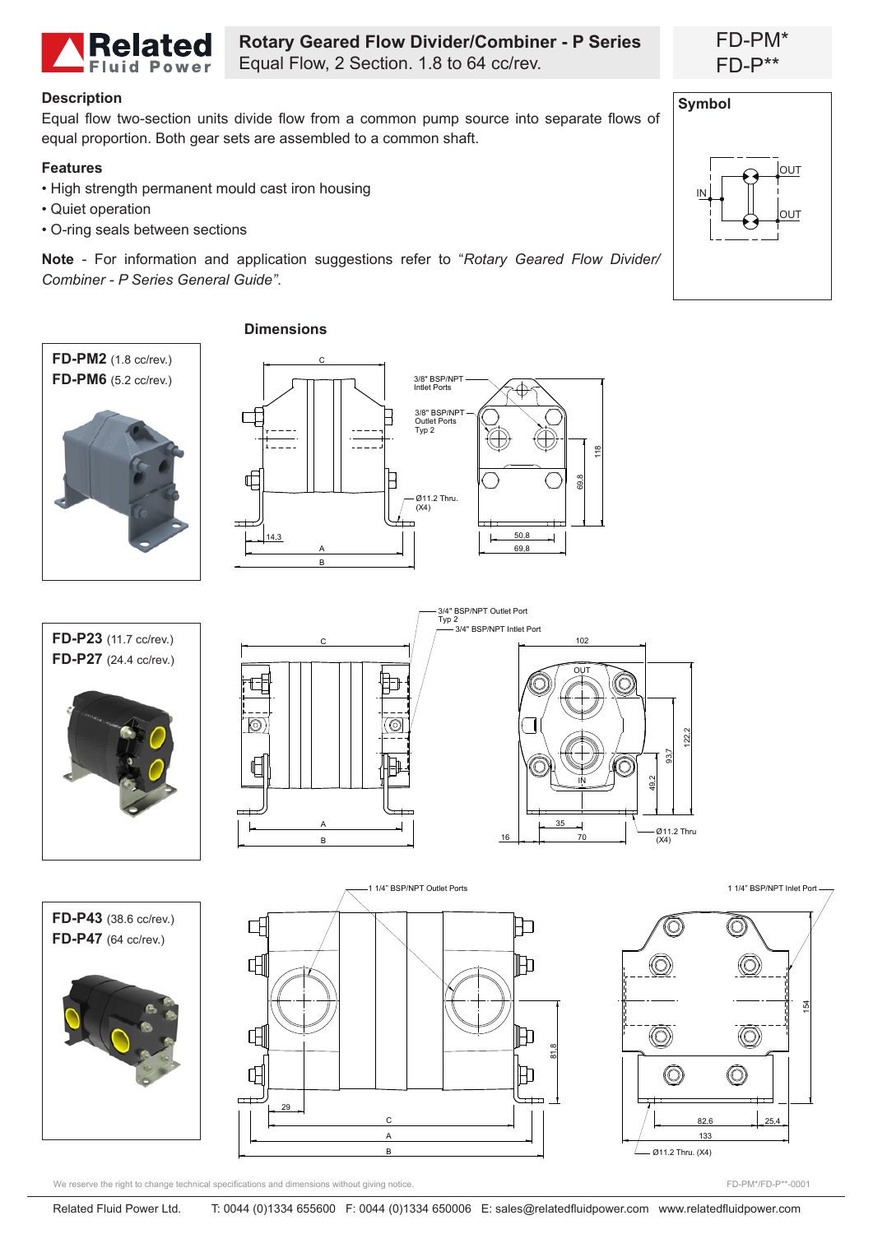

**Rotary Geared Flow Divider/Combiner - P Series** Equal Flow, 2 Section. 1.8 to 64 cc/rev.

### **Description**

Equal flow two-section units divide flow from a common pump source into separate flows of equal proportion. Both gear sets are assembled to a common shaft.

## **Features**

- High strength permanent mould cast iron housing
- Quiet operation
- O-ring seals between sections

**Note** - For information and application suggestions refer to "*Rotary Geared Flow Divider/ Combiner - P Series General Guide"*.



We reserve the right to change technical specifications and dimensions without giving notice.